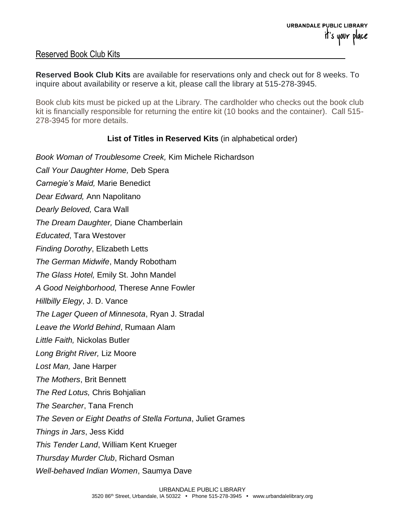## Reserved Book Club Kits

**Reserved Book Club Kits** are available for reservations only and check out for 8 weeks. To inquire about availability or reserve a kit, please call the library at 515-278-3945.

Book club kits must be picked up at the Library. The cardholder who checks out the book club kit is financially responsible for returning the entire kit (10 books and the container). Call 515- 278-3945 for more details.

## **List of Titles in Reserved Kits** (in alphabetical order)

*Book Woman of Troublesome Creek,* Kim Michele Richardson *Call Your Daughter Home,* Deb Spera *Carnegie's Maid,* Marie Benedict *Dear Edward,* Ann Napolitano *Dearly Beloved,* Cara Wall *The Dream Daughter,* Diane Chamberlain *Educated*, Tara Westover *Finding Dorothy*, Elizabeth Letts *The German Midwife*, Mandy Robotham *The Glass Hotel,* Emily St. John Mandel *A Good Neighborhood,* Therese Anne Fowler *Hillbilly Elegy*, J. D. Vance *The Lager Queen of Minnesota*, Ryan J. Stradal *Leave the World Behind*, Rumaan Alam *Little Faith,* Nickolas Butler *Long Bright River,* Liz Moore *Lost Man,* Jane Harper *The Mothers*, Brit Bennett *The Red Lotus,* Chris Bohjalian *The Searcher*, Tana French *The Seven or Eight Deaths of Stella Fortuna*, Juliet Grames *Things in Jars*, Jess Kidd *This Tender Land*, William Kent Krueger *Thursday Murder Club*, Richard Osman *Well-behaved Indian Women*, Saumya Dave